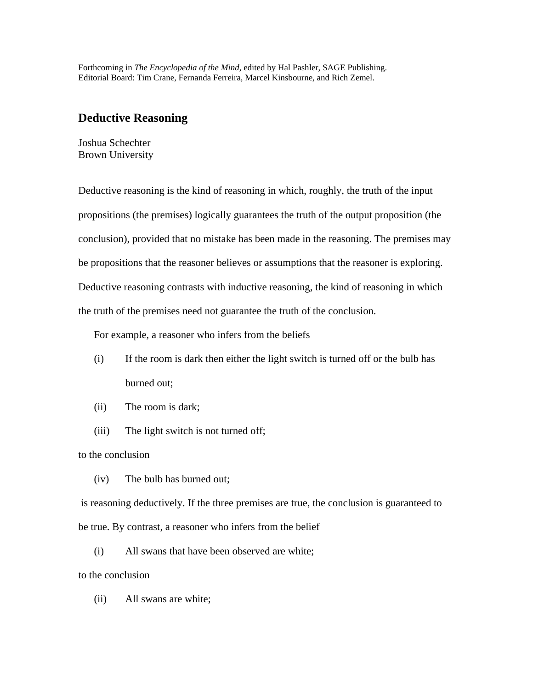Forthcoming in *The Encyclopedia of the Mind*, edited by Hal Pashler, SAGE Publishing. Editorial Board: Tim Crane, Fernanda Ferreira, Marcel Kinsbourne, and Rich Zemel.

# **Deductive Reasoning**

Joshua Schechter Brown University

Deductive reasoning is the kind of reasoning in which, roughly, the truth of the input propositions (the premises) logically guarantees the truth of the output proposition (the conclusion), provided that no mistake has been made in the reasoning. The premises may be propositions that the reasoner believes or assumptions that the reasoner is exploring. Deductive reasoning contrasts with inductive reasoning, the kind of reasoning in which the truth of the premises need not guarantee the truth of the conclusion.

For example, a reasoner who infers from the beliefs

- (i) If the room is dark then either the light switch is turned off or the bulb has burned out;
- (ii) The room is dark;
- (iii) The light switch is not turned off;

to the conclusion

(iv) The bulb has burned out;

 is reasoning deductively. If the three premises are true, the conclusion is guaranteed to be true. By contrast, a reasoner who infers from the belief

(i) All swans that have been observed are white;

to the conclusion

(ii) All swans are white;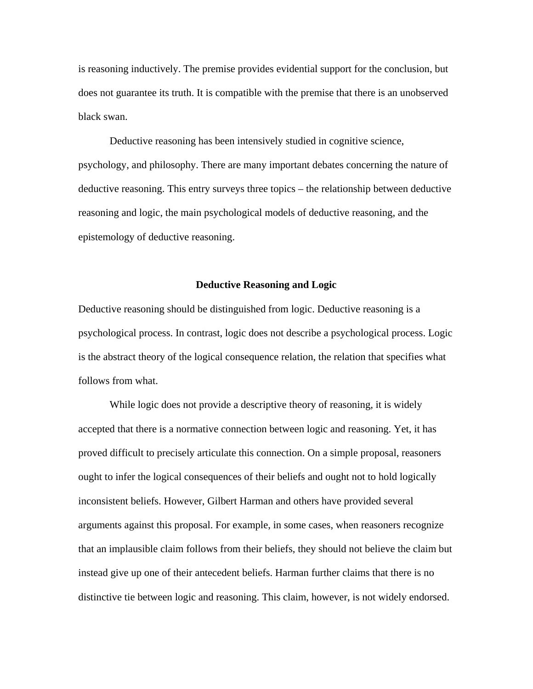is reasoning inductively. The premise provides evidential support for the conclusion, but does not guarantee its truth. It is compatible with the premise that there is an unobserved black swan.

Deductive reasoning has been intensively studied in cognitive science, psychology, and philosophy. There are many important debates concerning the nature of deductive reasoning. This entry surveys three topics – the relationship between deductive reasoning and logic, the main psychological models of deductive reasoning, and the epistemology of deductive reasoning.

#### **Deductive Reasoning and Logic**

Deductive reasoning should be distinguished from logic. Deductive reasoning is a psychological process. In contrast, logic does not describe a psychological process. Logic is the abstract theory of the logical consequence relation, the relation that specifies what follows from what.

 While logic does not provide a descriptive theory of reasoning, it is widely accepted that there is a normative connection between logic and reasoning. Yet, it has proved difficult to precisely articulate this connection. On a simple proposal, reasoners ought to infer the logical consequences of their beliefs and ought not to hold logically inconsistent beliefs. However, Gilbert Harman and others have provided several arguments against this proposal. For example, in some cases, when reasoners recognize that an implausible claim follows from their beliefs, they should not believe the claim but instead give up one of their antecedent beliefs. Harman further claims that there is no distinctive tie between logic and reasoning. This claim, however, is not widely endorsed.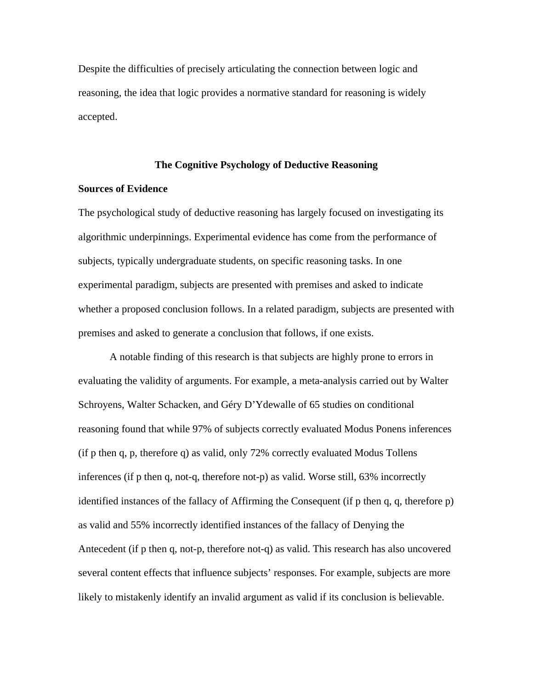Despite the difficulties of precisely articulating the connection between logic and reasoning, the idea that logic provides a normative standard for reasoning is widely accepted.

#### **The Cognitive Psychology of Deductive Reasoning**

# **Sources of Evidence**

The psychological study of deductive reasoning has largely focused on investigating its algorithmic underpinnings. Experimental evidence has come from the performance of subjects, typically undergraduate students, on specific reasoning tasks. In one experimental paradigm, subjects are presented with premises and asked to indicate whether a proposed conclusion follows. In a related paradigm, subjects are presented with premises and asked to generate a conclusion that follows, if one exists.

A notable finding of this research is that subjects are highly prone to errors in evaluating the validity of arguments. For example, a meta-analysis carried out by Walter Schroyens, Walter Schacken, and Géry D'Ydewalle of 65 studies on conditional reasoning found that while 97% of subjects correctly evaluated Modus Ponens inferences (if p then q, p, therefore q) as valid, only 72% correctly evaluated Modus Tollens inferences (if p then q, not-q, therefore not-p) as valid. Worse still, 63% incorrectly identified instances of the fallacy of Affirming the Consequent (if p then q, q, therefore p) as valid and 55% incorrectly identified instances of the fallacy of Denying the Antecedent (if p then q, not-p, therefore not-q) as valid. This research has also uncovered several content effects that influence subjects' responses. For example, subjects are more likely to mistakenly identify an invalid argument as valid if its conclusion is believable.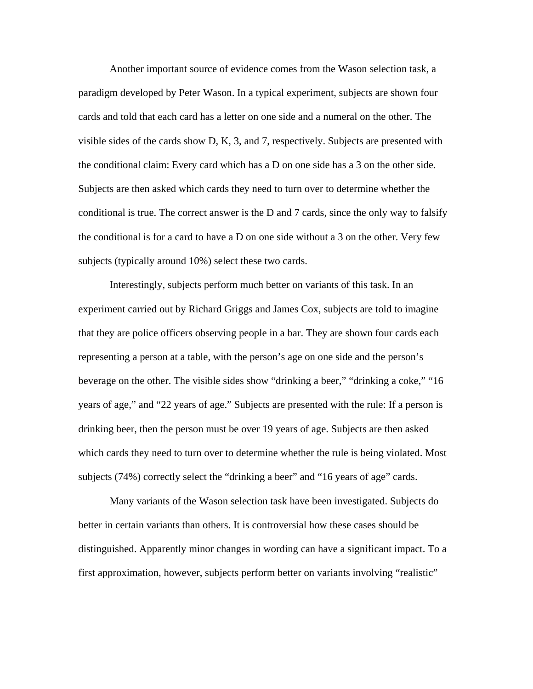Another important source of evidence comes from the Wason selection task, a paradigm developed by Peter Wason. In a typical experiment, subjects are shown four cards and told that each card has a letter on one side and a numeral on the other. The visible sides of the cards show D, K, 3, and 7, respectively. Subjects are presented with the conditional claim: Every card which has a D on one side has a 3 on the other side. Subjects are then asked which cards they need to turn over to determine whether the conditional is true. The correct answer is the D and 7 cards, since the only way to falsify the conditional is for a card to have a D on one side without a 3 on the other. Very few subjects (typically around 10%) select these two cards.

Interestingly, subjects perform much better on variants of this task. In an experiment carried out by Richard Griggs and James Cox, subjects are told to imagine that they are police officers observing people in a bar. They are shown four cards each representing a person at a table, with the person's age on one side and the person's beverage on the other. The visible sides show "drinking a beer," "drinking a coke," "16 years of age," and "22 years of age." Subjects are presented with the rule: If a person is drinking beer, then the person must be over 19 years of age. Subjects are then asked which cards they need to turn over to determine whether the rule is being violated. Most subjects (74%) correctly select the "drinking a beer" and "16 years of age" cards.

Many variants of the Wason selection task have been investigated. Subjects do better in certain variants than others. It is controversial how these cases should be distinguished. Apparently minor changes in wording can have a significant impact. To a first approximation, however, subjects perform better on variants involving "realistic"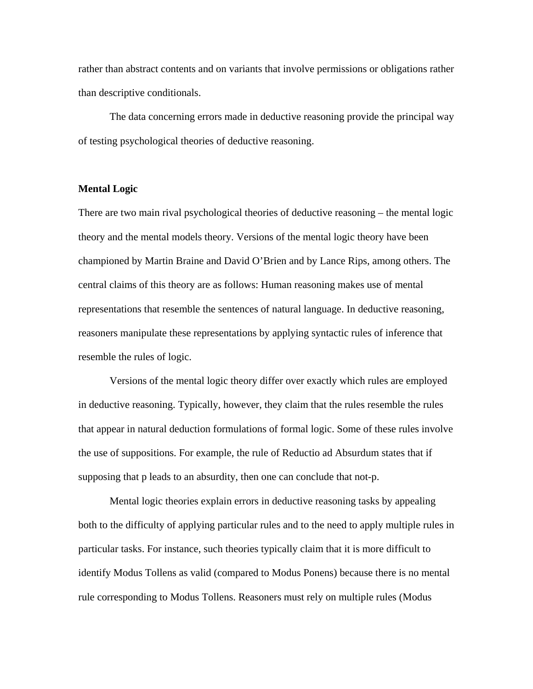rather than abstract contents and on variants that involve permissions or obligations rather than descriptive conditionals.

The data concerning errors made in deductive reasoning provide the principal way of testing psychological theories of deductive reasoning.

# **Mental Logic**

There are two main rival psychological theories of deductive reasoning – the mental logic theory and the mental models theory. Versions of the mental logic theory have been championed by Martin Braine and David O'Brien and by Lance Rips, among others. The central claims of this theory are as follows: Human reasoning makes use of mental representations that resemble the sentences of natural language. In deductive reasoning, reasoners manipulate these representations by applying syntactic rules of inference that resemble the rules of logic.

Versions of the mental logic theory differ over exactly which rules are employed in deductive reasoning. Typically, however, they claim that the rules resemble the rules that appear in natural deduction formulations of formal logic. Some of these rules involve the use of suppositions. For example, the rule of Reductio ad Absurdum states that if supposing that p leads to an absurdity, then one can conclude that not-p.

Mental logic theories explain errors in deductive reasoning tasks by appealing both to the difficulty of applying particular rules and to the need to apply multiple rules in particular tasks. For instance, such theories typically claim that it is more difficult to identify Modus Tollens as valid (compared to Modus Ponens) because there is no mental rule corresponding to Modus Tollens. Reasoners must rely on multiple rules (Modus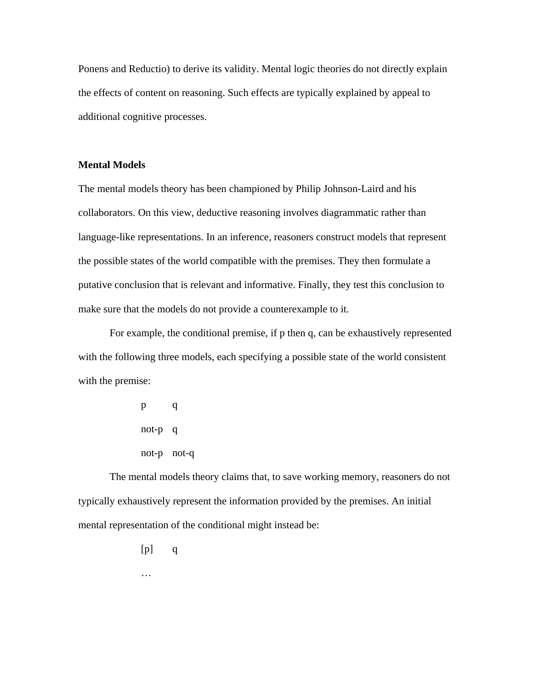Ponens and Reductio) to derive its validity. Mental logic theories do not directly explain the effects of content on reasoning. Such effects are typically explained by appeal to additional cognitive processes.

# **Mental Models**

The mental models theory has been championed by Philip Johnson-Laird and his collaborators. On this view, deductive reasoning involves diagrammatic rather than language-like representations. In an inference, reasoners construct models that represent the possible states of the world compatible with the premises. They then formulate a putative conclusion that is relevant and informative. Finally, they test this conclusion to make sure that the models do not provide a counterexample to it.

 For example, the conditional premise, if p then q, can be exhaustively represented with the following three models, each specifying a possible state of the world consistent with the premise:

 p q not-p q not-p not-q

The mental models theory claims that, to save working memory, reasoners do not typically exhaustively represent the information provided by the premises. An initial mental representation of the conditional might instead be:

- $[p]$  q
- …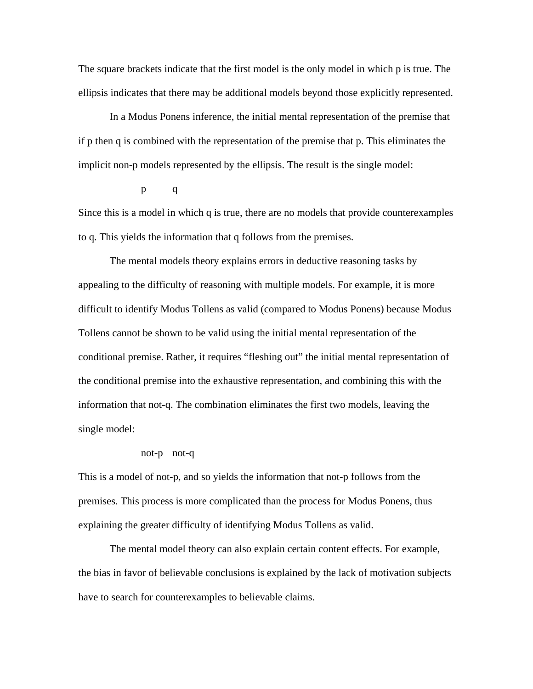The square brackets indicate that the first model is the only model in which p is true. The ellipsis indicates that there may be additional models beyond those explicitly represented.

In a Modus Ponens inference, the initial mental representation of the premise that if p then q is combined with the representation of the premise that p. This eliminates the implicit non-p models represented by the ellipsis. The result is the single model:

p q

Since this is a model in which q is true, there are no models that provide counterexamples to q. This yields the information that q follows from the premises.

 The mental models theory explains errors in deductive reasoning tasks by appealing to the difficulty of reasoning with multiple models. For example, it is more difficult to identify Modus Tollens as valid (compared to Modus Ponens) because Modus Tollens cannot be shown to be valid using the initial mental representation of the conditional premise. Rather, it requires "fleshing out" the initial mental representation of the conditional premise into the exhaustive representation, and combining this with the information that not-q. The combination eliminates the first two models, leaving the single model:

# not-p not-q

This is a model of not-p, and so yields the information that not-p follows from the premises. This process is more complicated than the process for Modus Ponens, thus explaining the greater difficulty of identifying Modus Tollens as valid.

The mental model theory can also explain certain content effects. For example, the bias in favor of believable conclusions is explained by the lack of motivation subjects have to search for counterexamples to believable claims.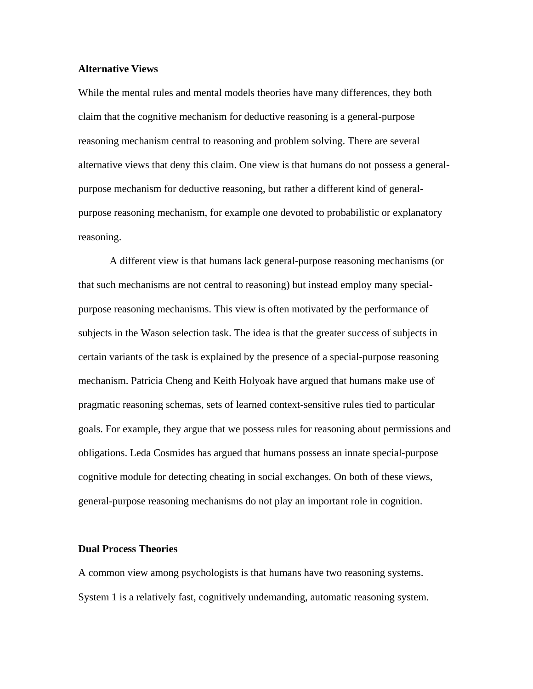# **Alternative Views**

While the mental rules and mental models theories have many differences, they both claim that the cognitive mechanism for deductive reasoning is a general-purpose reasoning mechanism central to reasoning and problem solving. There are several alternative views that deny this claim. One view is that humans do not possess a generalpurpose mechanism for deductive reasoning, but rather a different kind of generalpurpose reasoning mechanism, for example one devoted to probabilistic or explanatory reasoning.

 A different view is that humans lack general-purpose reasoning mechanisms (or that such mechanisms are not central to reasoning) but instead employ many specialpurpose reasoning mechanisms. This view is often motivated by the performance of subjects in the Wason selection task. The idea is that the greater success of subjects in certain variants of the task is explained by the presence of a special-purpose reasoning mechanism. Patricia Cheng and Keith Holyoak have argued that humans make use of pragmatic reasoning schemas, sets of learned context-sensitive rules tied to particular goals. For example, they argue that we possess rules for reasoning about permissions and obligations. Leda Cosmides has argued that humans possess an innate special-purpose cognitive module for detecting cheating in social exchanges. On both of these views, general-purpose reasoning mechanisms do not play an important role in cognition.

# **Dual Process Theories**

A common view among psychologists is that humans have two reasoning systems. System 1 is a relatively fast, cognitively undemanding, automatic reasoning system.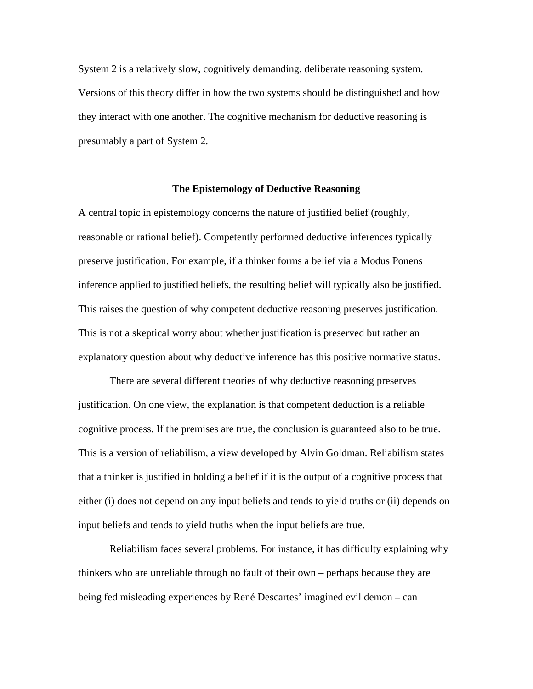System 2 is a relatively slow, cognitively demanding, deliberate reasoning system. Versions of this theory differ in how the two systems should be distinguished and how they interact with one another. The cognitive mechanism for deductive reasoning is presumably a part of System 2.

# **The Epistemology of Deductive Reasoning**

A central topic in epistemology concerns the nature of justified belief (roughly, reasonable or rational belief). Competently performed deductive inferences typically preserve justification. For example, if a thinker forms a belief via a Modus Ponens inference applied to justified beliefs, the resulting belief will typically also be justified. This raises the question of why competent deductive reasoning preserves justification. This is not a skeptical worry about whether justification is preserved but rather an explanatory question about why deductive inference has this positive normative status.

There are several different theories of why deductive reasoning preserves justification. On one view, the explanation is that competent deduction is a reliable cognitive process. If the premises are true, the conclusion is guaranteed also to be true. This is a version of reliabilism, a view developed by Alvin Goldman. Reliabilism states that a thinker is justified in holding a belief if it is the output of a cognitive process that either (i) does not depend on any input beliefs and tends to yield truths or (ii) depends on input beliefs and tends to yield truths when the input beliefs are true.

Reliabilism faces several problems. For instance, it has difficulty explaining why thinkers who are unreliable through no fault of their own – perhaps because they are being fed misleading experiences by René Descartes' imagined evil demon – can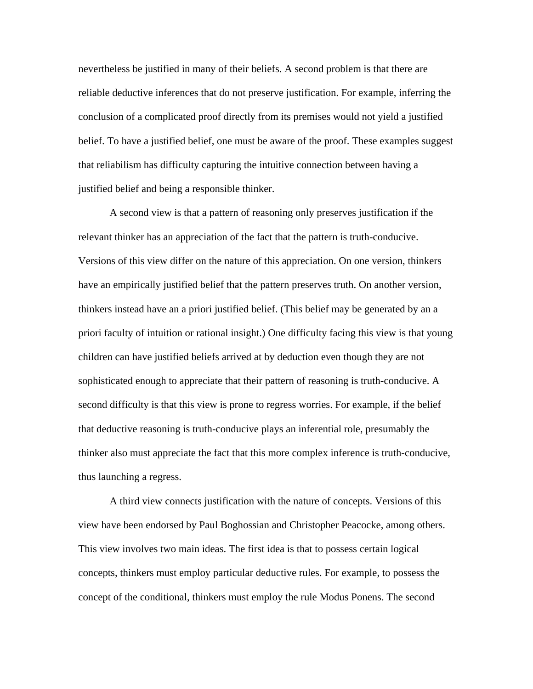nevertheless be justified in many of their beliefs. A second problem is that there are reliable deductive inferences that do not preserve justification. For example, inferring the conclusion of a complicated proof directly from its premises would not yield a justified belief. To have a justified belief, one must be aware of the proof. These examples suggest that reliabilism has difficulty capturing the intuitive connection between having a justified belief and being a responsible thinker.

A second view is that a pattern of reasoning only preserves justification if the relevant thinker has an appreciation of the fact that the pattern is truth-conducive. Versions of this view differ on the nature of this appreciation. On one version, thinkers have an empirically justified belief that the pattern preserves truth. On another version, thinkers instead have an a priori justified belief. (This belief may be generated by an a priori faculty of intuition or rational insight.) One difficulty facing this view is that young children can have justified beliefs arrived at by deduction even though they are not sophisticated enough to appreciate that their pattern of reasoning is truth-conducive. A second difficulty is that this view is prone to regress worries. For example, if the belief that deductive reasoning is truth-conducive plays an inferential role, presumably the thinker also must appreciate the fact that this more complex inference is truth-conducive, thus launching a regress.

A third view connects justification with the nature of concepts. Versions of this view have been endorsed by Paul Boghossian and Christopher Peacocke, among others. This view involves two main ideas. The first idea is that to possess certain logical concepts, thinkers must employ particular deductive rules. For example, to possess the concept of the conditional, thinkers must employ the rule Modus Ponens. The second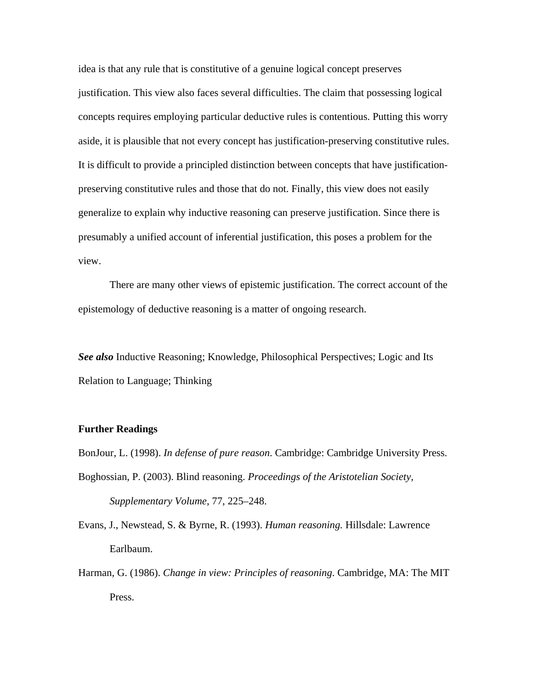idea is that any rule that is constitutive of a genuine logical concept preserves justification. This view also faces several difficulties. The claim that possessing logical concepts requires employing particular deductive rules is contentious. Putting this worry aside, it is plausible that not every concept has justification-preserving constitutive rules. It is difficult to provide a principled distinction between concepts that have justificationpreserving constitutive rules and those that do not. Finally, this view does not easily generalize to explain why inductive reasoning can preserve justification. Since there is presumably a unified account of inferential justification, this poses a problem for the view.

There are many other views of epistemic justification. The correct account of the epistemology of deductive reasoning is a matter of ongoing research.

*See also* Inductive Reasoning; Knowledge, Philosophical Perspectives; Logic and Its Relation to Language; Thinking

# **Further Readings**

BonJour, L. (1998). *In defense of pure reason*. Cambridge: Cambridge University Press.

- Boghossian, P. (2003). Blind reasoning. *Proceedings of the Aristotelian Society, Supplementary Volume*, 77, 225–248.
- Evans, J., Newstead, S. & Byrne, R. (1993). *Human reasoning.* Hillsdale: Lawrence Earlbaum.
- Harman, G. (1986). *Change in view: Principles of reasoning*. Cambridge, MA: The MIT Press.